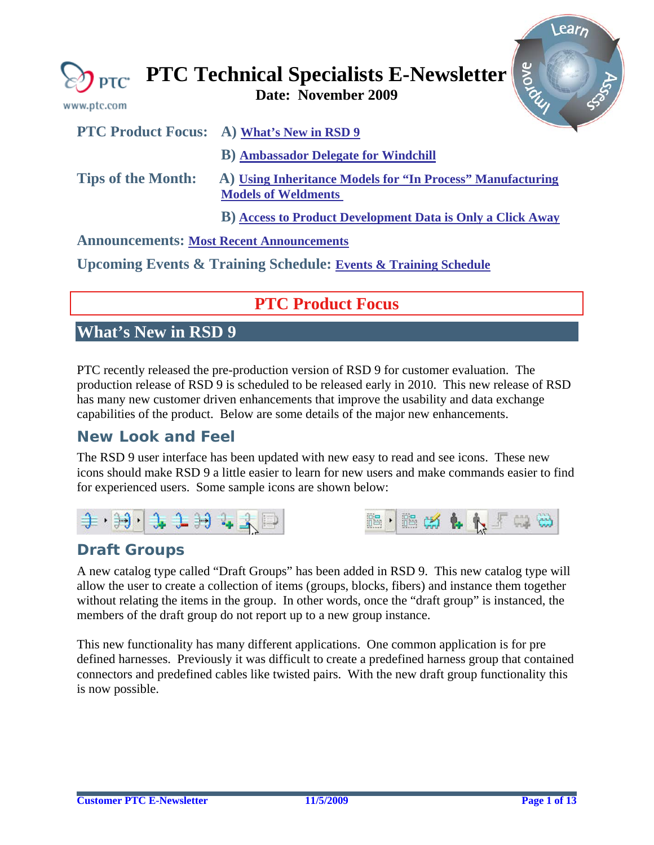<span id="page-0-0"></span>

| www.ptc.com                                     | <b>SYONE</b><br>$\bigotimes_{\mathsf{PTC}}$ PTC Technical Specialists E-Newsletter       |
|-------------------------------------------------|------------------------------------------------------------------------------------------|
|                                                 | <b>PTC Product Focus:</b> A) What's New in RSD 9                                         |
|                                                 | <b>B)</b> Ambassador Delegate for Windchill                                              |
| <b>Tips of the Month:</b>                       | A) Using Inheritance Models for "In Process" Manufacturing<br><b>Models of Weldments</b> |
|                                                 | <b>B)</b> Access to Product Development Data is Only a Click Away                        |
| <b>Announcements: Most Recent Announcements</b> |                                                                                          |

**Upcoming Events & Training Schedule: [Events & Training Schedule](#page-11-0)**

# **PTC Product Focus**

# **What's New in RSD 9**

PTC recently released the pre-production version of RSD 9 for customer evaluation. The production release of RSD 9 is scheduled to be released early in 2010. This new release of RSD has many new customer driven enhancements that improve the usability and data exchange capabilities of the product. Below are some details of the major new enhancements.

# **New Look and Feel**

The RSD 9 user interface has been updated with new easy to read and see icons. These new icons should make RSD 9 a little easier to learn for new users and make commands easier to find for experienced users. Some sample icons are shown below:





# **Draft Groups**

A new catalog type called "Draft Groups" has been added in RSD 9. This new catalog type will allow the user to create a collection of items (groups, blocks, fibers) and instance them together without relating the items in the group. In other words, once the "draft group" is instanced, the members of the draft group do not report up to a new group instance.

This new functionality has many different applications. One common application is for pre defined harnesses. Previously it was difficult to create a predefined harness group that contained connectors and predefined cables like twisted pairs. With the new draft group functionality this is now possible.

Learn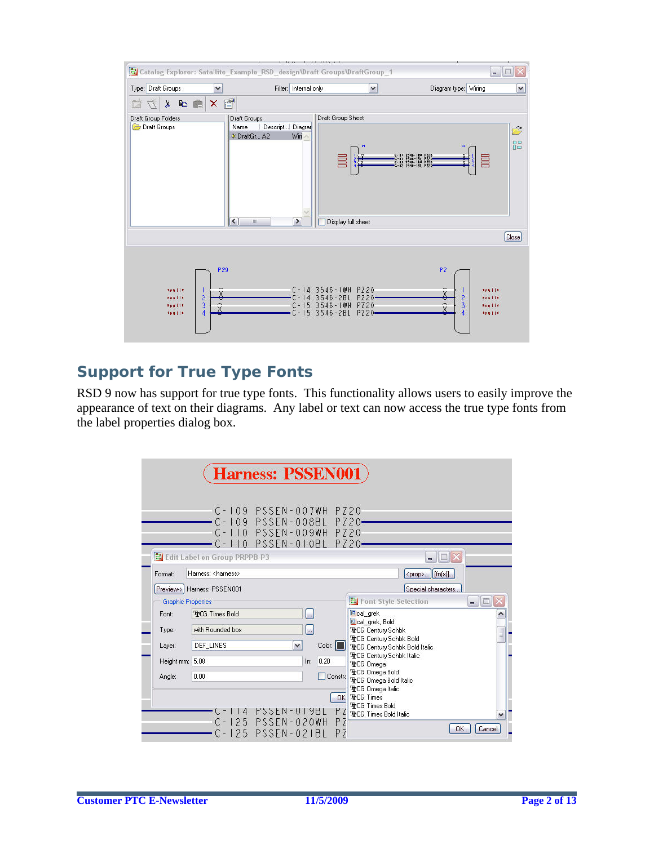

# **Support for True Type Fonts**

RSD 9 now has support for true type fonts. This functionality allows users to easily improve the appearance of text on their diagrams. Any label or text can now access the true type fonts from the label properties dialog box.

| <b>Harness: PSSEN001</b>  |                                             |                                                   |             |          |                                                                  |                |
|---------------------------|---------------------------------------------|---------------------------------------------------|-------------|----------|------------------------------------------------------------------|----------------|
|                           |                                             | C-109 PSSEN-007WH PZ20<br>C-109 PSSEN-008BL PZ20- |             |          |                                                                  |                |
|                           |                                             | C-110 PSSEN-009WH PZ20<br>C-110 PSSEN-010BL PZ20- |             |          |                                                                  |                |
|                           | <mark>레</mark> Edit Label on Group PRPPB-P3 |                                                   |             |          | $\mathbb{H}$ $\times$                                            |                |
| Format:                   | Hamess: <hamess></hamess>                   |                                                   |             |          | <prop>   [fn(x)]</prop>                                          |                |
|                           | Preview-> Harness: PSSEN001                 |                                                   |             |          | Special characters                                               |                |
| <b>Graphic Properties</b> |                                             |                                                   |             |          | <b>Co</b> Font Style Selection                                   | $\blacksquare$ |
| Font:                     | <b>TrCG Times Bold</b>                      |                                                   |             |          | <b>B</b> cal grek                                                | ۸              |
| Type:                     | with Rounded box                            |                                                   | k.          |          | Cal grek, Bold<br><b>TrCG Century Schbk</b>                      | $\equiv$       |
| Layer:                    | <b>DEF LINES</b>                            | $\checkmark$                                      |             | Color:   | <b>TrCG Century Schbk Bold</b><br>TrCG Century Schbk Bold Italic |                |
| Height mm: 5.08           |                                             |                                                   | 0.20<br>ln: |          | <b>TrCG Century Schbk Italic</b><br><b>TrCG Omega</b>            |                |
| Angle:                    | 0.00                                        |                                                   |             | Constra  | 雪CG Omega Bold<br>TrCG Omega Bold Italic                         |                |
|                           |                                             |                                                   |             | 0K       | <b>TrCG Omega Italic</b><br><b>TrCG Times</b>                    |                |
|                           | $\vert 4$                                   | PSSEN-UI9BL                                       |             | PZ       | <b>TrCG Times Bold</b><br><b>TrCG Times Bold Italic</b>          |                |
|                           |                                             | C-125 PSSEN-020WH<br>C-125 PSSEN-021BL            |             | ΡZ<br>PZ | OK                                                               | Cancel         |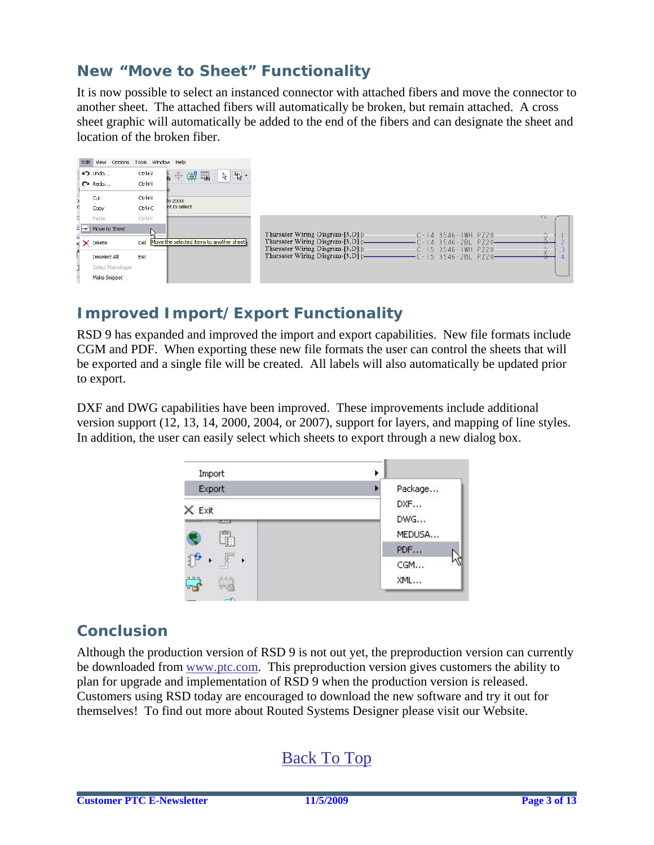# **New "Move to Sheet" Functionality**

It is now possible to select an instanced connector with attached fibers and move the connector to another sheet. The attached fibers will automatically be broken, but remain attached. A cross sheet graphic will automatically be added to the end of the fibers and can designate the sheet and location of the broken fiber.

| Edit View Options Tools Window Help                                  |                      |                                                                   |                                                                                                                                                                                                                       |  |
|----------------------------------------------------------------------|----------------------|-------------------------------------------------------------------|-----------------------------------------------------------------------------------------------------------------------------------------------------------------------------------------------------------------------|--|
| D Undo<br>$\sim$ Redo                                                | Ctrl+Z<br>$Ctrl+Y$   | 第一<br>$\mathbb{A}_{\mathbb{Q}}$ .<br>$\mathbf{A}$<br>$\mathbb{Z}$ |                                                                                                                                                                                                                       |  |
| Cut<br>Copy                                                          | Ctrl+X<br>$Ctrl + C$ | to zoom<br>nt to select                                           |                                                                                                                                                                                                                       |  |
| Paste<br>= -> Move to Sheet                                          | $CtrI+V$             |                                                                   | г с<br>Thursuter Wiring Diagram-[3, D] $\triangleright$<br>$\odot$<br>$C - 14$ 3546 - IWH PZ20                                                                                                                        |  |
| $\mathbf{H}$ $\mathbf{X}$ Delete<br>Deselect All<br>Select Mainshape | Del<br>Esc           | Move the selected items to another sheet                          | Thursuter Wiring Diagram-[3,D] D<br>3546-2BL PZ20<br>$-1$<br>$\Delta$<br>Thursuter Wiring Diagram-[3, D] $\triangleright$<br>$C - 15$ 3546 - IWH PZ20<br>Thursuter Wiring Diagram-[3, D] [-<br>$-15$ 3546-2BL<br>P720 |  |
| Make Snippet                                                         |                      |                                                                   |                                                                                                                                                                                                                       |  |

# **Improved Import/Export Functionality**

RSD 9 has expanded and improved the import and export capabilities. New file formats include CGM and PDF. When exporting these new file formats the user can control the sheets that will be exported and a single file will be created. All labels will also automatically be updated prior to export.

DXF and DWG capabilities have been improved. These improvements include additional version support (12, 13, 14, 2000, 2004, or 2007), support for layers, and mapping of line styles. In addition, the user can easily select which sheets to export through a new dialog box.



# **Conclusion**

Although the production version of RSD 9 is not out yet, the preproduction version can currently be downloaded from [www.ptc.com.](http://www.ptc.com/) This preproduction version gives customers the ability to plan for upgrade and implementation of RSD 9 when the production version is released. Customers using RSD today are encouraged to download the new software and try it out for themselves! To find out more about Routed Systems Designer please visit our Website.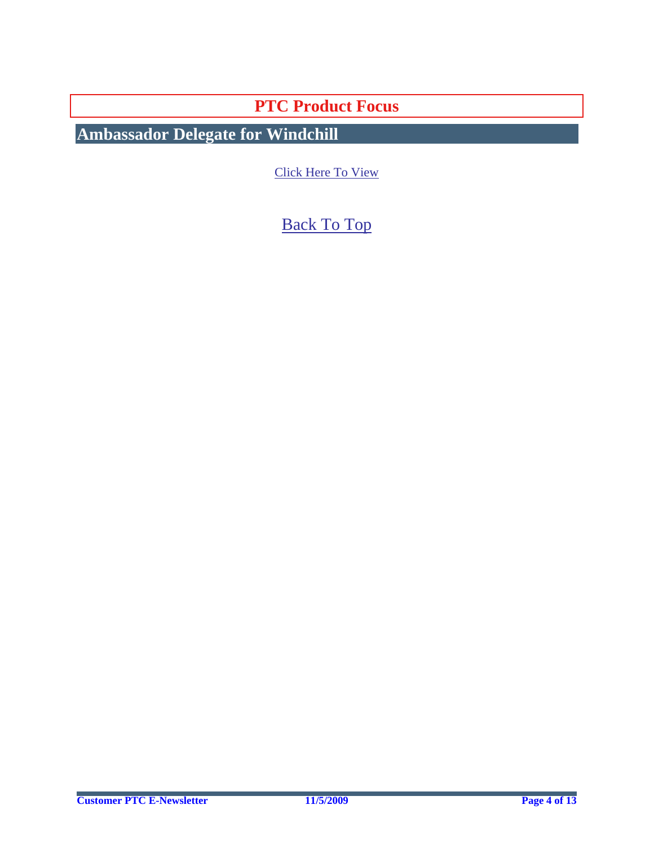**PTC Product Focus** 

<span id="page-3-0"></span>**Ambassador Delegate for Windchill** 

[Click Here To View](http://members.shaw.ca/jpeng/newsletter/PTC_Technical_Specialists_E-Newsletter_2009_11_enterprise.pdf)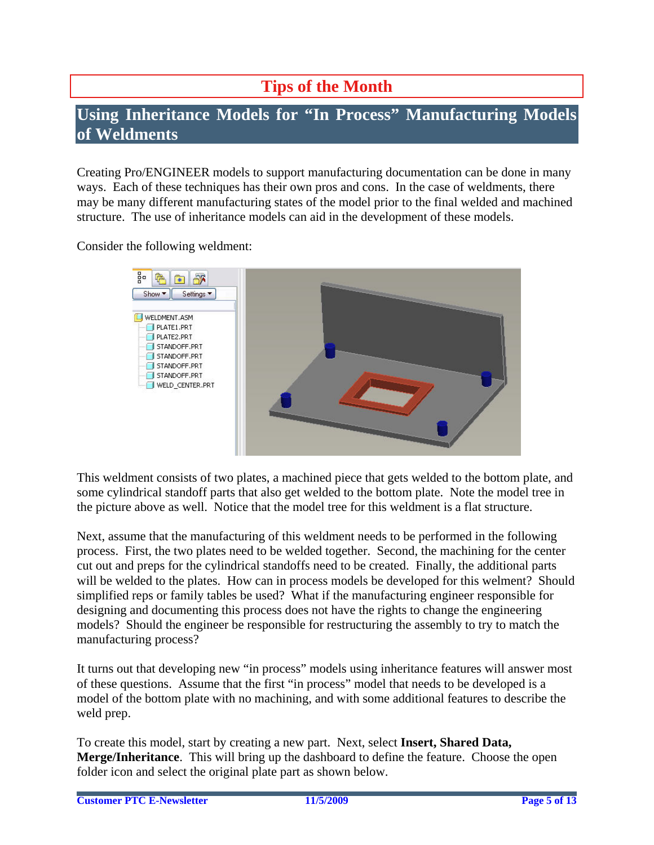# **Tips of the Month**

# <span id="page-4-0"></span>**Using Inheritance Models for "In Process" Manufacturing Models of Weldments**

Creating Pro/ENGINEER models to support manufacturing documentation can be done in many ways. Each of these techniques has their own pros and cons. In the case of weldments, there may be many different manufacturing states of the model prior to the final welded and machined structure. The use of inheritance models can aid in the development of these models.

Consider the following weldment:



This weldment consists of two plates, a machined piece that gets welded to the bottom plate, and some cylindrical standoff parts that also get welded to the bottom plate. Note the model tree in the picture above as well. Notice that the model tree for this weldment is a flat structure.

Next, assume that the manufacturing of this weldment needs to be performed in the following process. First, the two plates need to be welded together. Second, the machining for the center cut out and preps for the cylindrical standoffs need to be created. Finally, the additional parts will be welded to the plates. How can in process models be developed for this welment? Should simplified reps or family tables be used? What if the manufacturing engineer responsible for designing and documenting this process does not have the rights to change the engineering models? Should the engineer be responsible for restructuring the assembly to try to match the manufacturing process?

It turns out that developing new "in process" models using inheritance features will answer most of these questions. Assume that the first "in process" model that needs to be developed is a model of the bottom plate with no machining, and with some additional features to describe the weld prep.

To create this model, start by creating a new part. Next, select **Insert, Shared Data, Merge/Inheritance**. This will bring up the dashboard to define the feature. Choose the open folder icon and select the original plate part as shown below.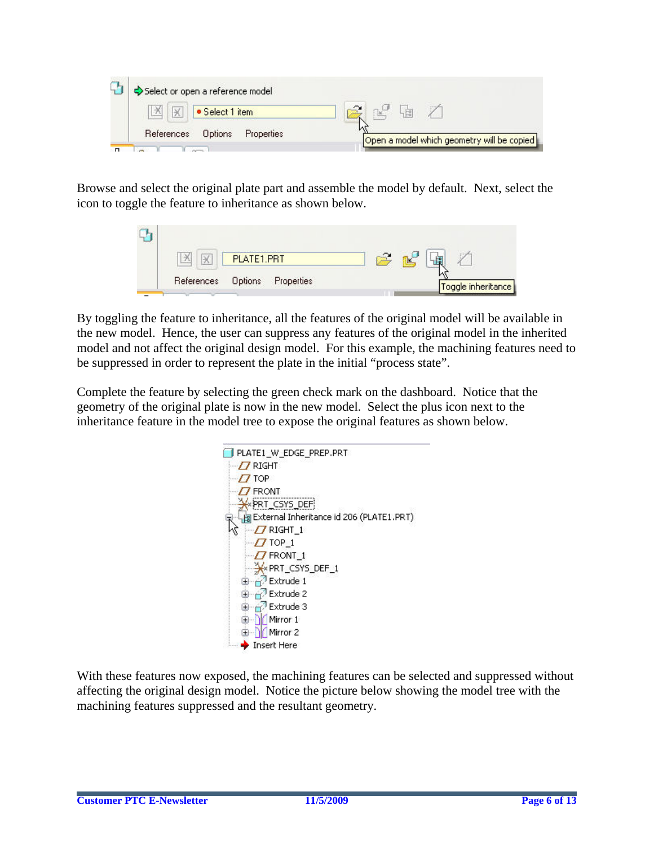

Browse and select the original plate part and assemble the model by default. Next, select the icon to toggle the feature to inheritance as shown below.



By toggling the feature to inheritance, all the features of the original model will be available in the new model. Hence, the user can suppress any features of the original model in the inherited model and not affect the original design model. For this example, the machining features need to be suppressed in order to represent the plate in the initial "process state".

Complete the feature by selecting the green check mark on the dashboard. Notice that the geometry of the original plate is now in the new model. Select the plus icon next to the inheritance feature in the model tree to expose the original features as shown below.



With these features now exposed, the machining features can be selected and suppressed without affecting the original design model. Notice the picture below showing the model tree with the machining features suppressed and the resultant geometry.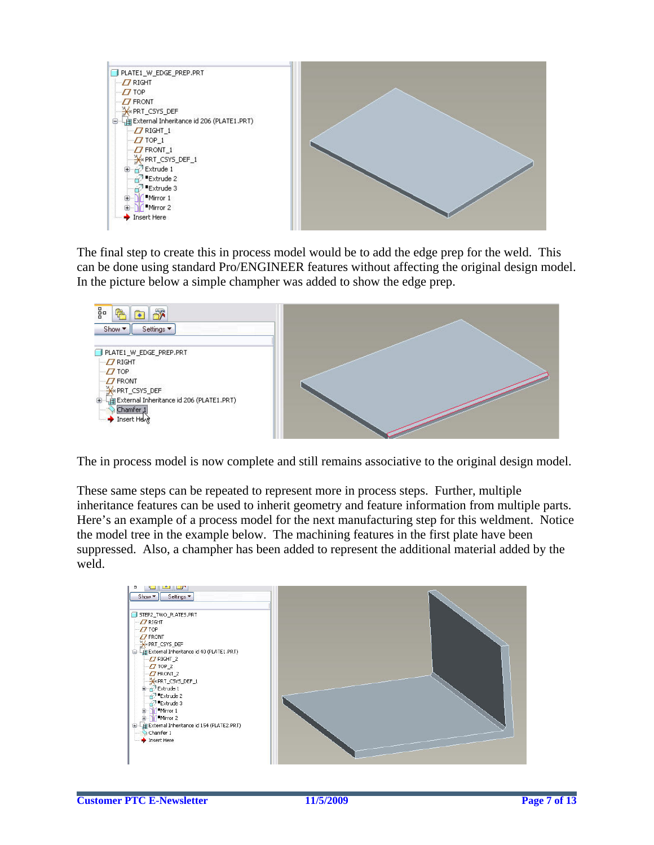

The final step to create this in process model would be to add the edge prep for the weld. This can be done using standard Pro/ENGINEER features without affecting the original design model. In the picture below a simple champher was added to show the edge prep.



The in process model is now complete and still remains associative to the original design model.

These same steps can be repeated to represent more in process steps. Further, multiple inheritance features can be used to inherit geometry and feature information from multiple parts. Here's an example of a process model for the next manufacturing step for this weldment. Notice the model tree in the example below. The machining features in the first plate have been suppressed. Also, a champher has been added to represent the additional material added by the weld.

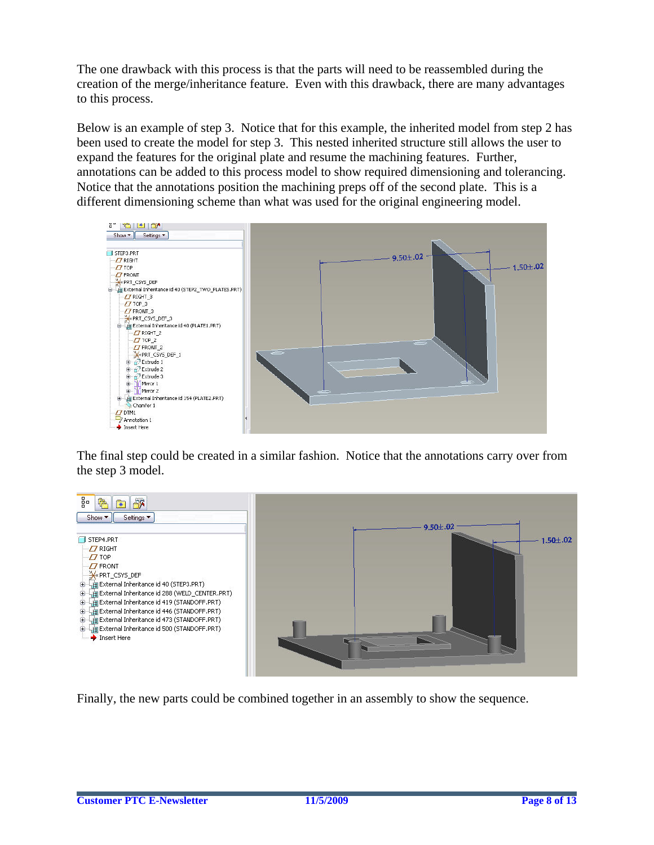The one drawback with this process is that the parts will need to be reassembled during the creation of the merge/inheritance feature. Even with this drawback, there are many advantages to this process.

Below is an example of step 3. Notice that for this example, the inherited model from step 2 has been used to create the model for step 3. This nested inherited structure still allows the user to expand the features for the original plate and resume the machining features. Further, annotations can be added to this process model to show required dimensioning and tolerancing. Notice that the annotations position the machining preps off of the second plate. This is a different dimensioning scheme than what was used for the original engineering model.



The final step could be created in a similar fashion. Notice that the annotations carry over from the step 3 model.



Finally, the new parts could be combined together in an assembly to show the sequence.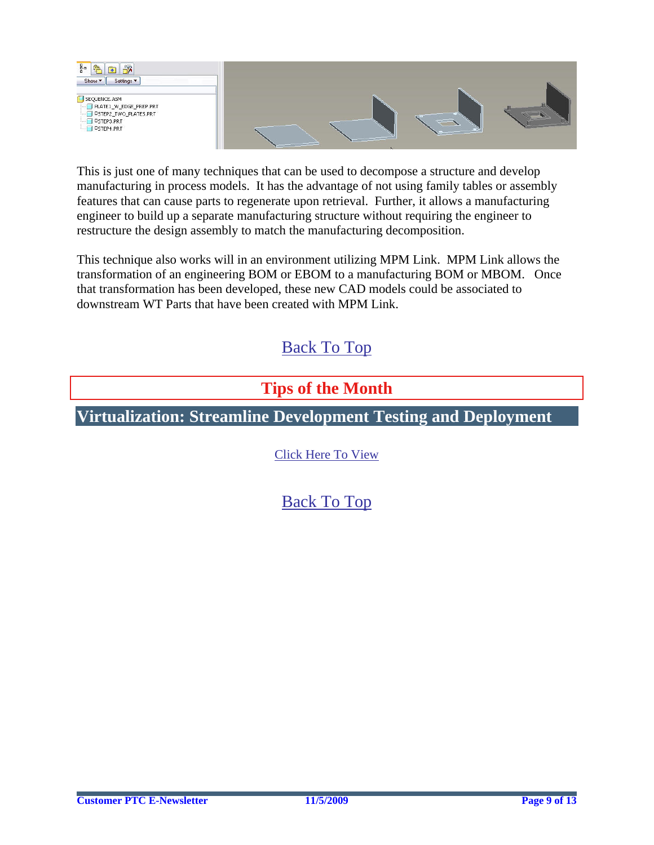<span id="page-8-0"></span>



This is just one of many techniques that can be used to decompose a structure and develop manufacturing in process models. It has the advantage of not using family tables or assembly features that can cause parts to regenerate upon retrieval. Further, it allows a manufacturing engineer to build up a separate manufacturing structure without requiring the engineer to restructure the design assembly to match the manufacturing decomposition.

This technique also works will in an environment utilizing MPM Link. MPM Link allows the transformation of an engineering BOM or EBOM to a manufacturing BOM or MBOM. Once that transformation has been developed, these new CAD models could be associated to downstream WT Parts that have been created with MPM Link.

# [Back To Top](#page-0-0)

# **Tips of the Month**

# **Virtualization: Streamline Development Testing and Deployment**

[Click Here To View](http://members.shaw.ca/jpeng/newsletter/PTC_Technical_Specialists_E-Newsletter_2009_11_enterprise.pdf)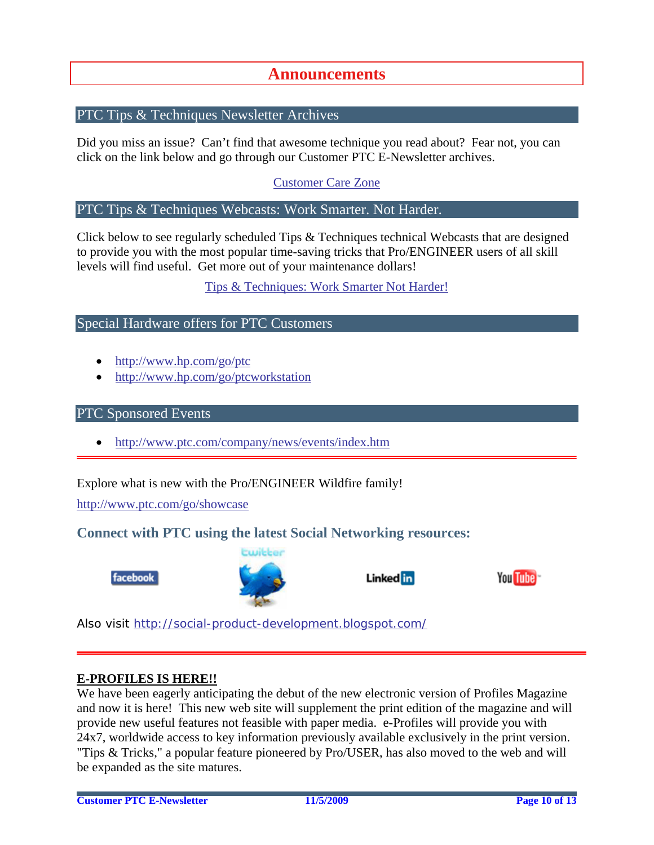## **Announcements**

## <span id="page-9-0"></span>PTC Tips & Techniques Newsletter Archives

Did you miss an issue? Can't find that awesome technique you read about? Fear not, you can click on the link below and go through our Customer PTC E-Newsletter archives.

[Customer Care Zone](http://www.ptc.com/carezone/)

### PTC Tips & Techniques Webcasts: Work Smarter. Not Harder.

Click below to see regularly scheduled Tips & Techniques technical Webcasts that are designed to provide you with the most popular time-saving tricks that Pro/ENGINEER users of all skill levels will find useful. Get more out of your maintenance dollars!

### [Tips & Techniques: Work Smarter Not Harder!](http://www.ptc.com/appserver/it/icm/cda/template_lib/events/series.jsp?&im_dbkey=11442&icg_dbkey=141)

### Special Hardware offers for PTC Customers

- <http://www.hp.com/go/ptc>
- <http://www.hp.com/go/ptcworkstation>

#### PTC Sponsored Events

• http://www.ptc.com/company/news/events/index.htm

Explore what is new with the Pro/ENGINEER Wildfire family!

<http://www.ptc.com/go/showcase>

## **Connect with PTC using the latest Social Networking resources:**





## Linked in



Also visit<http://social-product-development.blogspot.com/>

#### **E-PROFILES IS HERE!!**

We have been eagerly anticipating the debut of the new electronic version of Profiles Magazine and now it is here! This new web site will supplement the print edition of the magazine and will provide new useful features not feasible with paper media. e-Profiles will provide you with 24x7, worldwide access to key information previously available exclusively in the print version. "Tips & Tricks," a popular feature pioneered by Pro/USER, has also moved to the web and will be expanded as the site matures.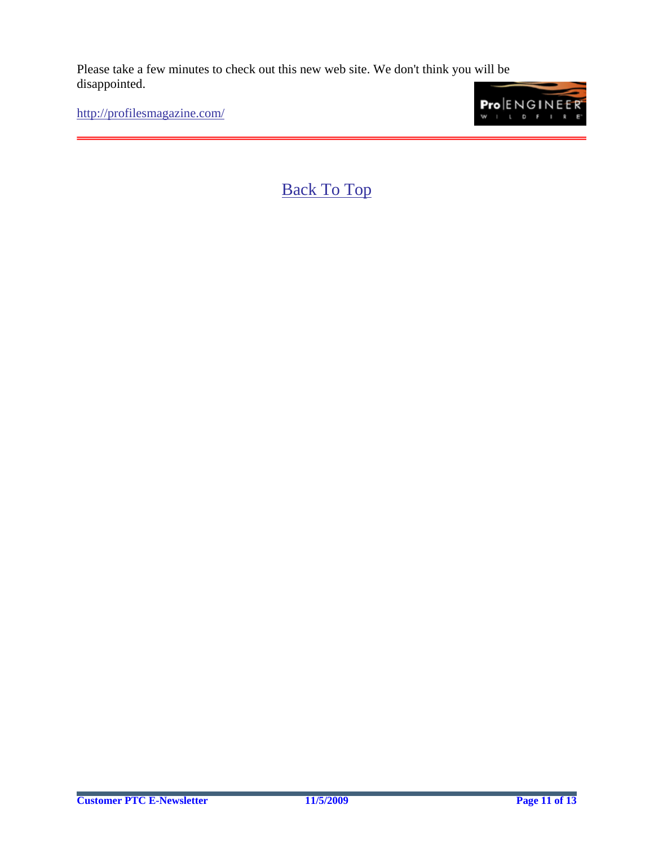Please take a few minutes to check out this new web site. We don't think you will be disappointed.

<http://profilesmagazine.com/>

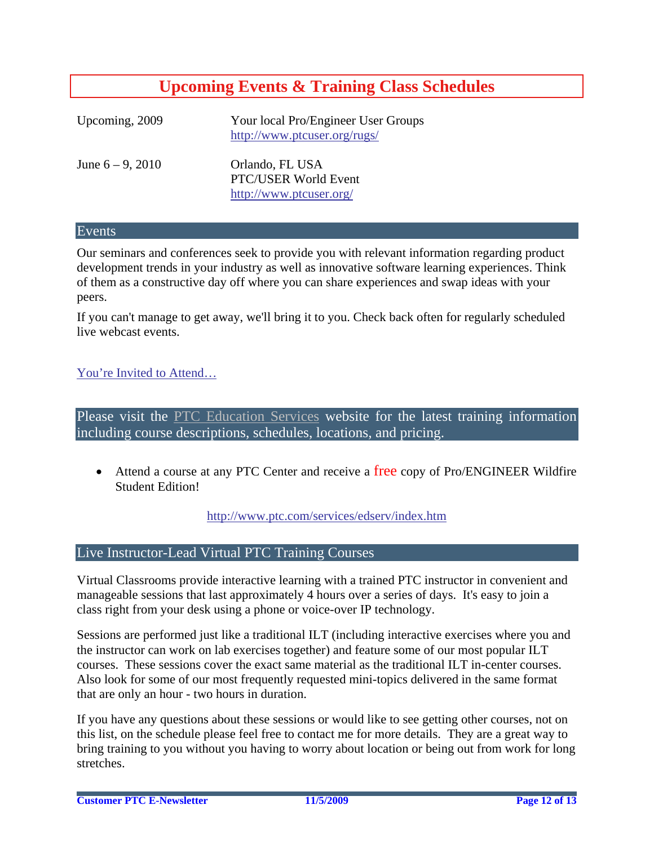# **Upcoming Events & Training Class Schedules**

<span id="page-11-0"></span>

| Upcoming, 2009      | Your local Pro/Engineer User Groups<br>http://www.ptcuser.org/rugs/ |
|---------------------|---------------------------------------------------------------------|
| June $6 - 9$ , 2010 | Orlando, FL USA<br>PTC/USER World Event<br>http://www.ptcuser.org/  |

#### Events

Our seminars and conferences seek to provide you with relevant information regarding product development trends in your industry as well as innovative software learning experiences. Think of them as a constructive day off where you can share experiences and swap ideas with your peers.

If you can't manage to get away, we'll bring it to you. Check back often for regularly scheduled live webcast events.

### [You're Invited to Attend…](http://www.ptc.com/company/news/events/index.htm)

Please visit the [PTC Education Services](http://www.ptc.com/services/edserv/) website for the latest training information including course descriptions, schedules, locations, and pricing.

• Attend a course at any PTC Center and receive a free copy of Pro/ENGINEER Wildfire Student Edition!

<http://www.ptc.com/services/edserv/index.htm>

### Live Instructor-Lead Virtual PTC Training Courses

Virtual Classrooms provide interactive learning with a trained PTC instructor in convenient and manageable sessions that last approximately 4 hours over a series of days. It's easy to join a class right from your desk using a phone or voice-over IP technology.

Sessions are performed just like a traditional ILT (including interactive exercises where you and the instructor can work on lab exercises together) and feature some of our most popular ILT courses. These sessions cover the exact same material as the traditional ILT in-center courses. Also look for some of our most frequently requested mini-topics delivered in the same format that are only an hour - two hours in duration.

If you have any questions about these sessions or would like to see getting other courses, not on this list, on the schedule please feel free to contact me for more details. They are a great way to bring training to you without you having to worry about location or being out from work for long stretches.